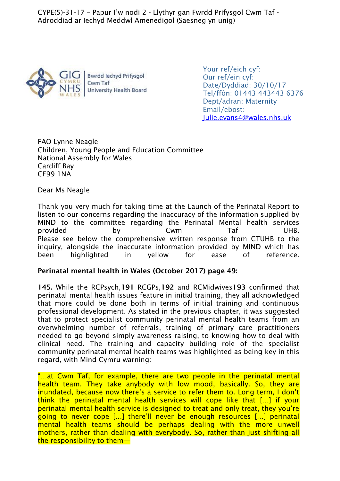CYPE(5)-31-17 – Papur I'w nodi 2 - Llythyr gan Fwrdd Prifysgol Cwm Taf - Adroddiad ar Iechyd Meddwl Amenedigol (Saesneg yn unig)



Your ref/eich cyf: Our ref/ein cyf: Date/Dyddiad: 30/10/17 Tel/ffôn: 01443 443443 6376 Dept/adran: Maternity Email/ebost: [Julie.evans4@wales.nhs.uk](mailto:Julie.evans4@wales.nhs.uk) 

FAO Lynne Neagle Children, Young People and Education Committee National Assembly for Wales Cardiff Bay CF99 1NA

Dear Ms Neagle

Thank you very much for taking time at the Launch of the Perinatal Report to listen to our concerns regarding the inaccuracy of the information supplied by MIND to the committee regarding the Perinatal Mental health services provided by Cwm Taf UHB. Please see below the comprehensive written response from CTUHB to the inquiry, alongside the inaccurate information provided by MIND which has been highlighted in yellow for ease of reference.

#### **Perinatal mental health in Wales (October 2017) page 49:**

**145.** While the RCPsych,**191** RCGPs,**192** and RCMidwives**193** confirmed that perinatal mental health issues feature in initial training, they all acknowledged that more could be done both in terms of initial training and continuous professional development. As stated in the previous chapter, it was suggested that to protect specialist community perinatal mental health teams from an overwhelming number of referrals, training of primary care practitioners needed to go beyond simply awareness raising, to knowing how to deal with clinical need. The training and capacity building role of the specialist community perinatal mental health teams was highlighted as being key in this regard, with Mind Cymru warning:

"…at Cwm Taf, for example, there are two people in the perinatal mental health team. They take anybody with low mood, basically. So, they are inundated, because now there's a service to refer them to. Long term, I don't think the perinatal mental health services will cope like that […] if your perinatal mental health service is designed to treat and only treat, they you're going to never cope […] there'll never be enough resources […] perinatal mental health teams should be perhaps dealing with the more unwell mothers, rather than dealing with everybody. So, rather than just shifting all the responsibility to them—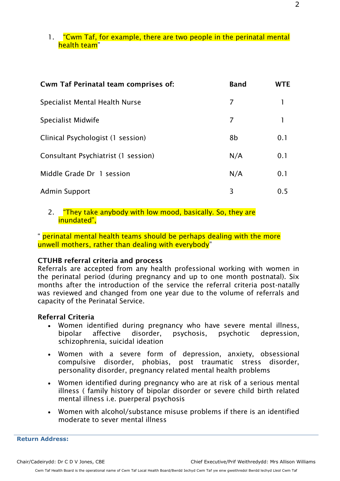# 1. "Cwm Taf, for example, there are two people in the perinatal mental health team"

| <b>Cwm Taf Perinatal team comprises of:</b> | <b>Band</b> | WTF |
|---------------------------------------------|-------------|-----|
| Specialist Mental Health Nurse              | 7           |     |
| Specialist Midwife                          | 7           |     |
| Clinical Psychologist (1 session)           | 8b          | 0.1 |
| Consultant Psychiatrist (1 session)         | N/A         | 0.1 |
| Middle Grade Dr 1 session                   | N/A         | 0.1 |
| <b>Admin Support</b>                        | 3           | 0.5 |

### 2. "They take anybody with low mood, basically. So, they are inundated",

" perinatal mental health teams should be perhaps dealing with the more unwell mothers, rather than dealing with everybody"

# **CTUHB referral criteria and process**

Referrals are accepted from any health professional working with women in the perinatal period (during pregnancy and up to one month postnatal). Six months after the introduction of the service the referral criteria post-natally was reviewed and changed from one year due to the volume of referrals and capacity of the Perinatal Service.

# **Referral Criteria**

- Women identified during pregnancy who have severe mental illness, bipolar affective disorder, psychosis, psychotic depression, schizophrenia, suicidal ideation
- Women with a severe form of depression, anxiety, obsessional compulsive disorder, phobias, post traumatic stress disorder, personality disorder, pregnancy related mental health problems
- Women identified during pregnancy who are at risk of a serious mental illness ( family history of bipolar disorder or severe child birth related mental illness i.e. puerperal psychosis
- Women with alcohol/substance misuse problems if there is an identified moderate to sever mental illness

**Return Address:**